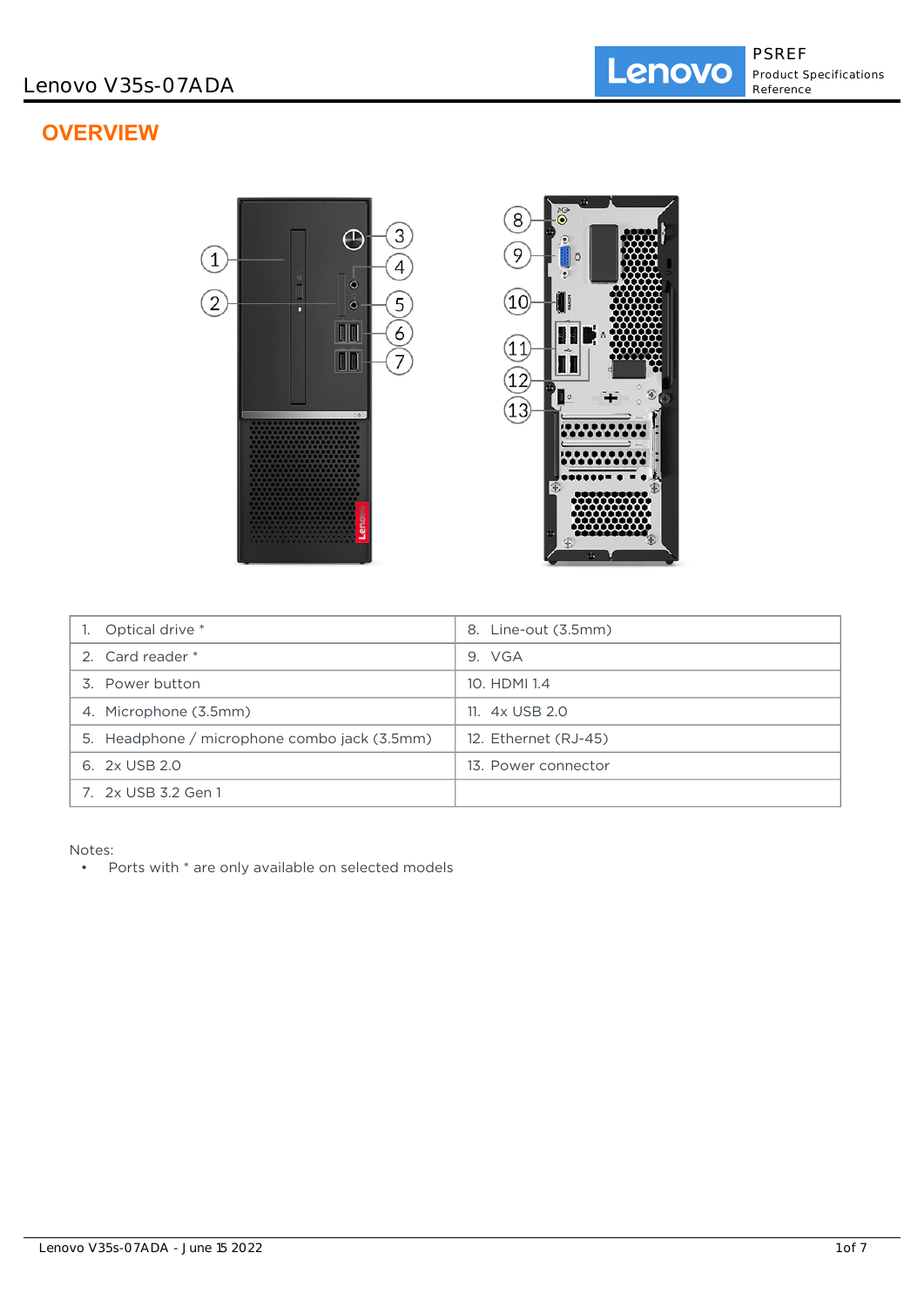# **OVERVIEW**



| Optical drive *                              | Line-out (3.5mm)<br>8. |
|----------------------------------------------|------------------------|
| 2. Card reader *                             | 9. VGA                 |
| 3. Power button                              | 10. HDMI 1.4           |
| 4. Microphone (3.5mm)                        | 11. 4x USB 2.0         |
| 5. Headphone / microphone combo jack (3.5mm) | 12. Ethernet (RJ-45)   |
| 6. 2x USB 2.0                                | 13. Power connector    |
| 7. 2x USB 3.2 Gen 1                          |                        |

Notes:

• Ports with \* are only available on selected models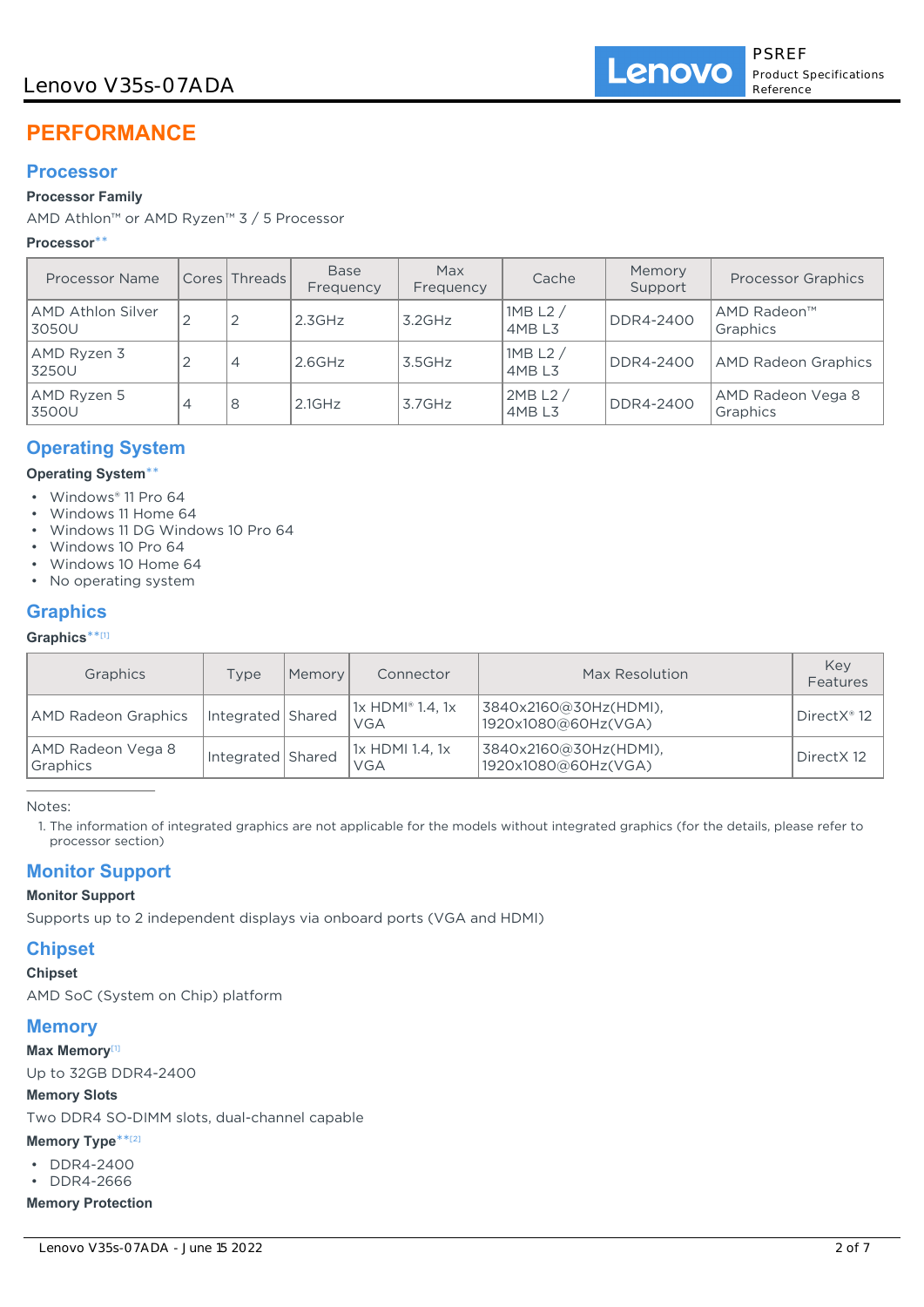## Lenovo V35s-07ADA

# **PERFORMANCE**

## **Processor**

## **Processor Family**

AMD Athlon™ or AMD Ryzen™ 3 / 5 Processor

## **Processor**\*\*

| Processor Name             |                | Cores   Threads | <b>Base</b><br>Frequency | Max<br>Frequency | Cache                         | Memory<br>Support | <b>Processor Graphics</b>     |
|----------------------------|----------------|-----------------|--------------------------|------------------|-------------------------------|-------------------|-------------------------------|
| AMD Athlon Silver<br>3050U | $\overline{2}$ | 2               | 2.3GHz                   | $3.2$ GHz        | 1MB L2 $/$<br>4MBL3           | DDR4-2400         | AMD Radeon™<br>Graphics       |
| AMD Ryzen 3<br>3250U       |                | 4               | $2.6$ GHz                | 3.5GHz           | 1MB L2 $/$<br>4MBL3           | <b>DDR4-2400</b>  | <b>AMD Radeon Graphics</b>    |
| AMD Ryzen 5<br>3500U       | 4              | 8               | $2.1$ GHz                | $3.7$ GHz        | 2MB L2 /<br>4MB <sub>L3</sub> | <b>DDR4-2400</b>  | AMD Radeon Vega 8<br>Graphics |

## **Operating System**

#### **Operating System**\*\*

- Windows® 11 Pro 64
- Windows 11 Home 64
- Windows 11 DG Windows 10 Pro 64
- Windows 10 Pro 64
- Windows 10 Home 64
- No operating system

## **Graphics**

#### **Graphics**\*\* [1]

| Graphics                      | Type              | Memory | Connector                             | Max Resolution                               | Key<br>Features |
|-------------------------------|-------------------|--------|---------------------------------------|----------------------------------------------|-----------------|
| AMD Radeon Graphics           | Integrated Shared |        | $1x$ HDMI <sup>®</sup> 1.4, 1x<br>VGA | 3840x2160@30Hz(HDMI),<br>1920x1080@60Hz(VGA) | DirectX® 12     |
| AMD Radeon Vega 8<br>Graphics | Integrated Shared |        | 1x HDMI 1.4, 1x<br><b>VGA</b>         | 3840x2160@30Hz(HDMI),<br>1920x1080@60Hz(VGA) | DirectX 12      |

Notes:

1. The information of integrated graphics are not applicable for the models without integrated graphics (for the details, please refer to processor section)

## **Monitor Support**

#### **Monitor Support**

Supports up to 2 independent displays via onboard ports (VGA and HDMI)

## **Chipset**

**Chipset**

AMD SoC (System on Chip) platform

## **Memory**

#### **Max Memory**[1]

Up to 32GB DDR4-2400

#### **Memory Slots**

Two DDR4 SO-DIMM slots, dual-channel capable

#### **Memory Type**\*\* [2]

- DDR4-2400
- DDR4-2666

## **Memory Protection**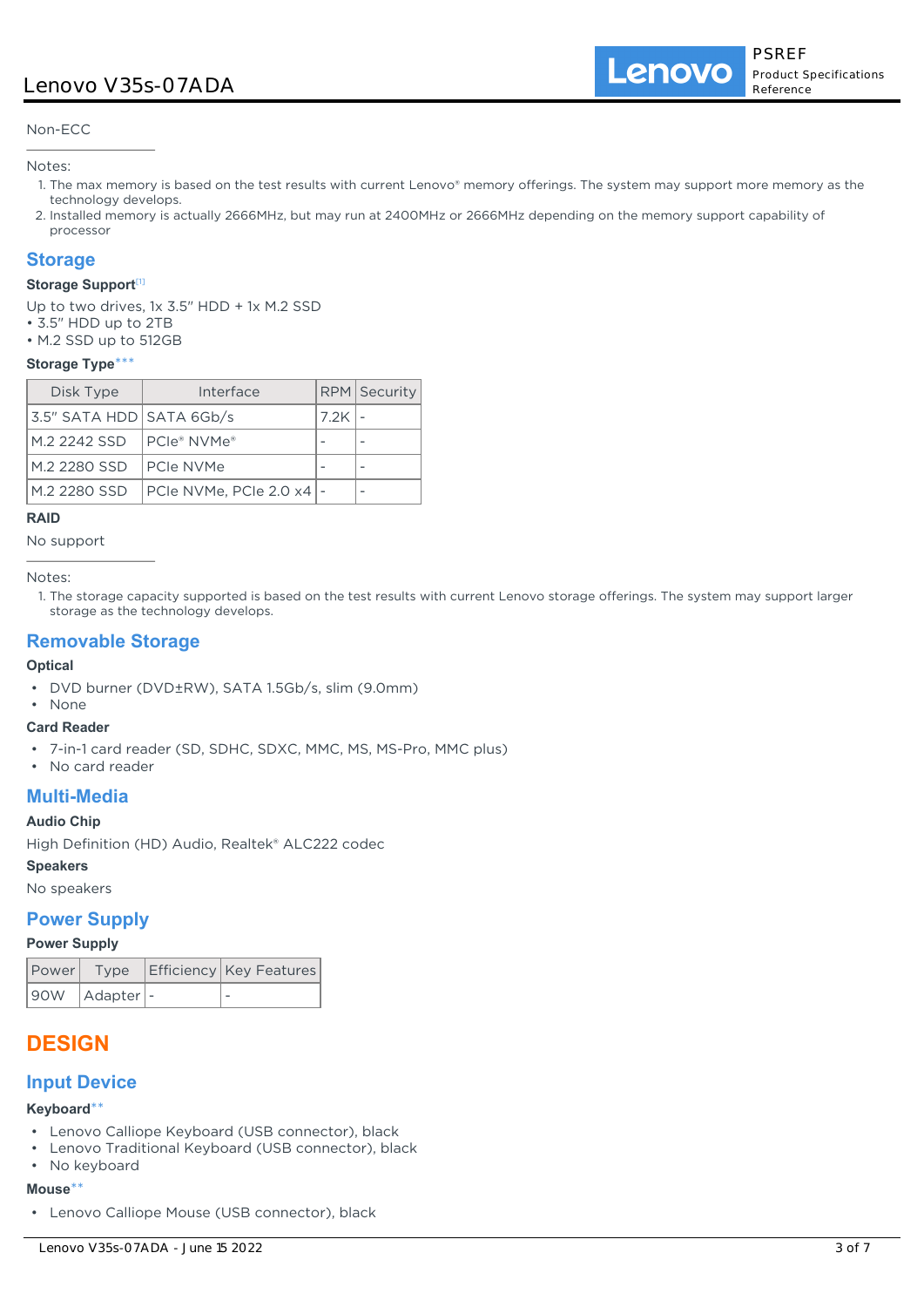## Lenovo V35s-07ADA

Lenovo

Non-ECC

Notes:

- 1. The max memory is based on the test results with current Lenovo® memory offerings. The system may support more memory as the technology develops.
- 2. Installed memory is actually 2666MHz, but may run at 2400MHz or 2666MHz depending on the memory support capability of processor

### **Storage**

#### **Storage Support**[1]

Up to two drives, 1x 3.5" HDD + 1x M.2 SSD

- 3.5" HDD up to 2TB
- M.2 SSD up to 512GB

#### **Storage Type**\*\*\*

| Disk Type                | Interface                  |      | RPM Security |
|--------------------------|----------------------------|------|--------------|
| 3.5" SATA HDD SATA 6Gb/s |                            | 7.2K |              |
| M.2 2242 SSD             | I PCIe® NVMe®              |      |              |
| M.2 2280 SSD             | <b>PCIe NVMe</b>           |      |              |
| M.2 2280 SSD             | PCIe NVMe, PCIe 2.0 x4   - |      |              |

#### **RAID**

No support

Notes:

1. The storage capacity supported is based on the test results with current Lenovo storage offerings. The system may support larger storage as the technology develops.

## **Removable Storage**

#### **Optical**

• DVD burner (DVD±RW), SATA 1.5Gb/s, slim (9.0mm)

#### • None **Card Reader**

- 7-in-1 card reader (SD, SDHC, SDXC, MMC, MS, MS-Pro, MMC plus)
- No card reader

## **Multi-Media**

#### **Audio Chip**

High Definition (HD) Audio, Realtek® ALC222 codec

**Speakers**

No speakers

#### **Power Supply**

#### **Power Supply**

|                   | Power Type Efficiency Key Features |
|-------------------|------------------------------------|
| 90W   Adapter   - |                                    |

## **DESIGN**

## **Input Device**

#### **Keyboard**\*\*

- Lenovo Calliope Keyboard (USB connector), black
- Lenovo Traditional Keyboard (USB connector), black
- No keyboard

#### **Mouse**\*\*

• Lenovo Calliope Mouse (USB connector), black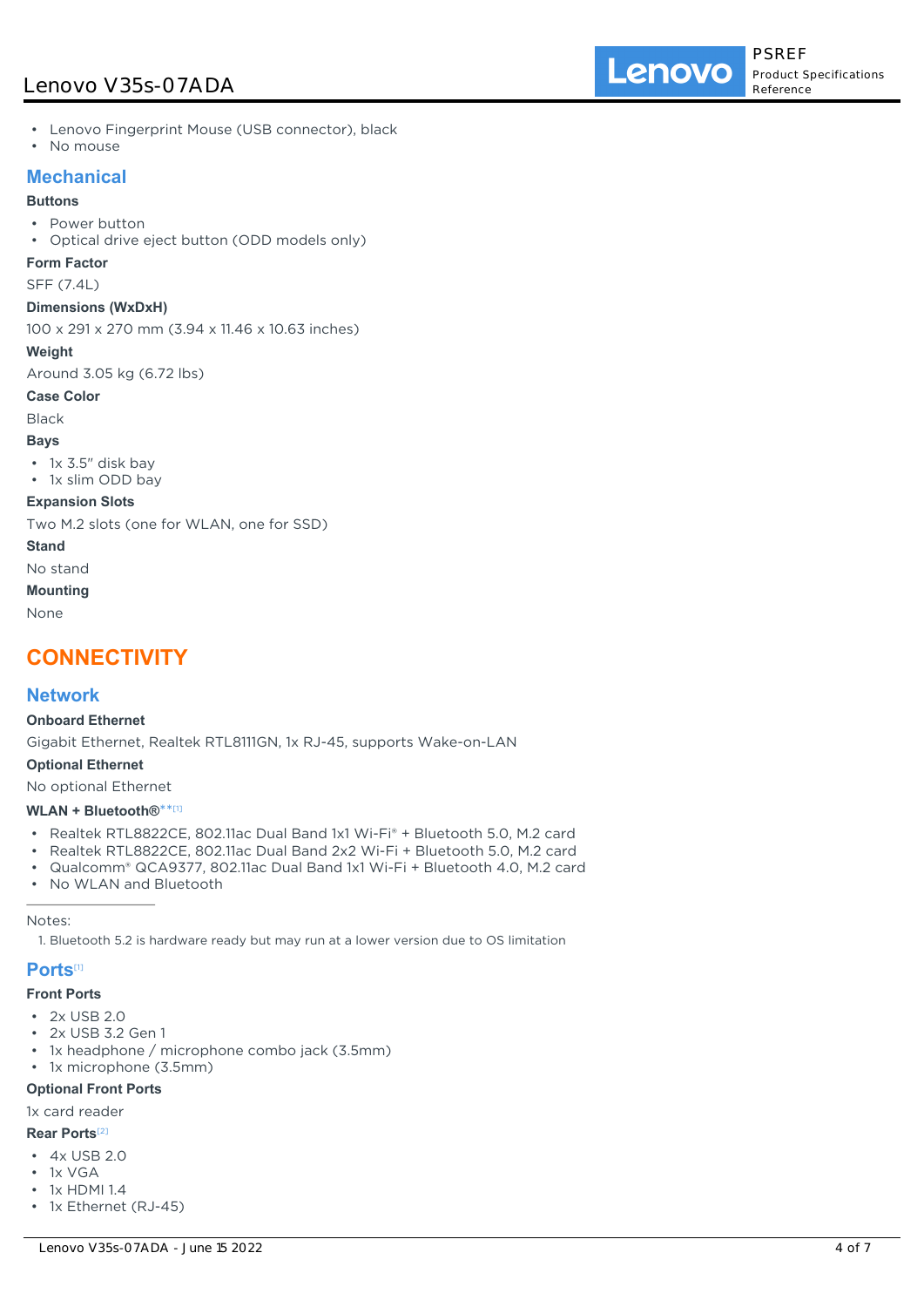## Lenovo V35s-07ADA

- Lenovo Fingerprint Mouse (USB connector), black
- No mouse

## **Mechanical**

#### **Buttons**

- Power button
- Optical drive eject button (ODD models only)

#### **Form Factor**

SFF (7.4L)

#### **Dimensions (WxDxH)**

100 x 291 x 270 mm (3.94 x 11.46 x 10.63 inches)

#### **Weight**

Around 3.05 kg (6.72 lbs)

#### **Case Color**

Black

#### **Bays**

• 1x 3.5" disk bay

• 1x slim ODD bay

#### **Expansion Slots**

Two M.2 slots (one for WLAN, one for SSD)

#### **Stand**

No stand

#### **Mounting**

None

## **CONNECTIVITY**

### **Network**

#### **Onboard Ethernet**

Gigabit Ethernet, Realtek RTL8111GN, 1x RJ-45, supports Wake-on-LAN

#### **Optional Ethernet**

No optional Ethernet

## **WLAN + Bluetooth®**\*\* [1]

- Realtek RTL8822CE, 802.11ac Dual Band 1x1 Wi-Fi® + Bluetooth 5.0, M.2 card
- Realtek RTL8822CE, 802.11ac Dual Band 2x2 Wi-Fi + Bluetooth 5.0, M.2 card
- Qualcomm® QCA9377, 802.11ac Dual Band 1x1 Wi-Fi + Bluetooth 4.0, M.2 card
- No WLAN and Bluetooth

#### Notes:

1. Bluetooth 5.2 is hardware ready but may run at a lower version due to OS limitation

#### **Ports**[1]

#### **Front Ports**

- $\cdot$  2x USB 2.0
- 2x USB 3.2 Gen 1
- 1x headphone / microphone combo jack (3.5mm)
- 1x microphone (3.5mm)

#### **Optional Front Ports**

#### 1x card reader

#### **Rear Ports**[2]

- 4x USB 2.0
- 1x VGA
- 1x HDMI 1.4
- 1x Ethernet (RJ-45)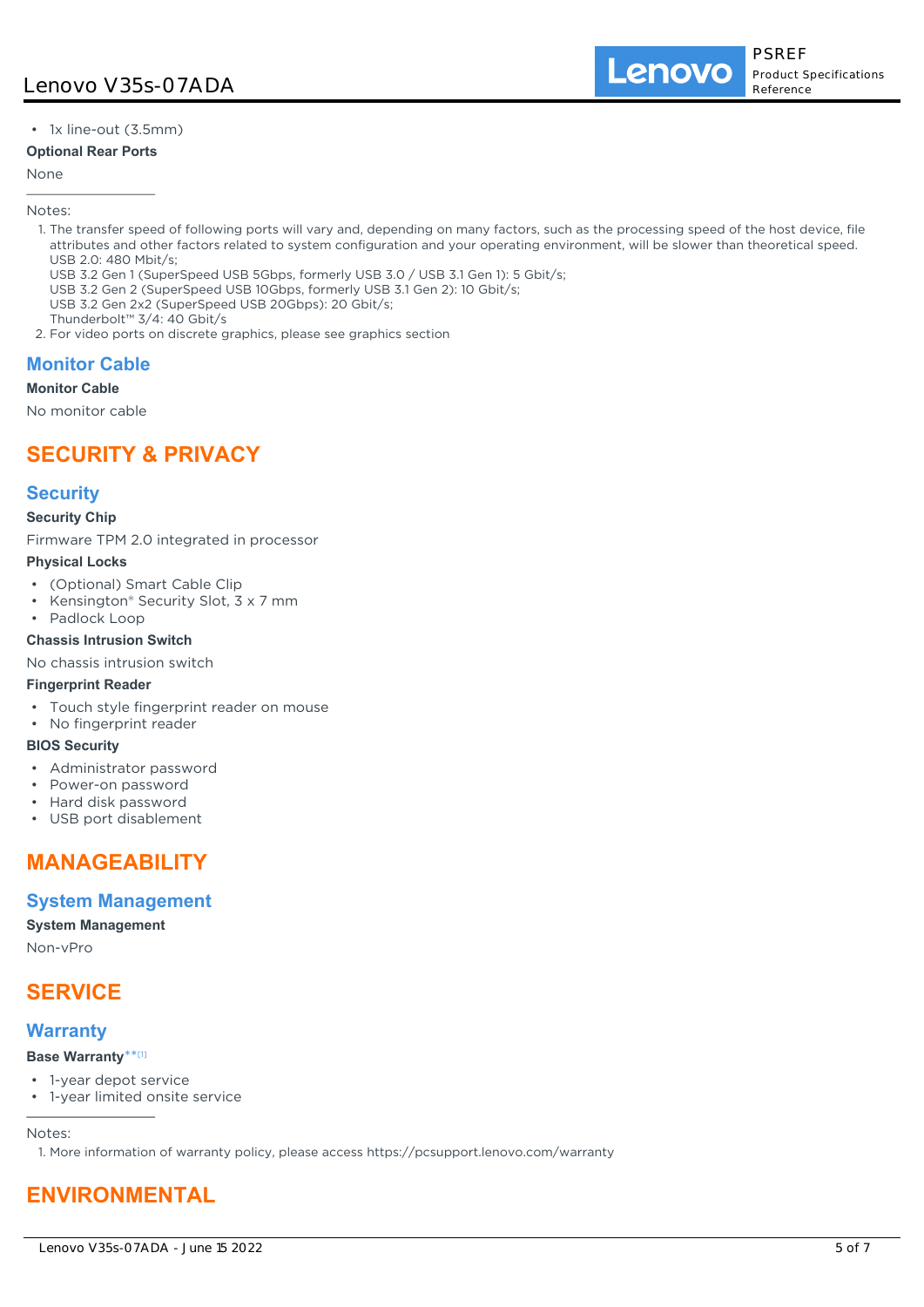• 1x line-out (3.5mm)

#### **Optional Rear Ports**

#### None

Notes:

- 1. The transfer speed of following ports will vary and, depending on many factors, such as the processing speed of the host device, file attributes and other factors related to system configuration and your operating environment, will be slower than theoretical speed. USB 2.0: 480 Mbit/s;
	- USB 3.2 Gen 1 (SuperSpeed USB 5Gbps, formerly USB 3.0 / USB 3.1 Gen 1): 5 Gbit/s;
- USB 3.2 Gen 2 (SuperSpeed USB 10Gbps, formerly USB 3.1 Gen 2): 10 Gbit/s;
- USB 3.2 Gen 2x2 (SuperSpeed USB 20Gbps): 20 Gbit/s;
- Thunderbolt™ 3/4: 40 Gbit/s
- 2. For video ports on discrete graphics, please see graphics section

## **Monitor Cable**

#### **Monitor Cable**

No monitor cable

## **SECURITY & PRIVACY**

## **Security**

#### **Security Chip**

Firmware TPM 2.0 integrated in processor

#### **Physical Locks**

- (Optional) Smart Cable Clip
- Kensington® Security Slot, 3 x 7 mm
- Padlock Loop

#### **Chassis Intrusion Switch**

No chassis intrusion switch

#### **Fingerprint Reader**

- Touch style fingerprint reader on mouse
- No fingerprint reader

#### **BIOS Security**

- Administrator password
- Power-on password
- Hard disk password
- USB port disablement

# **MANAGEABILITY**

## **System Management**

#### **System Management**

Non-vPro

## **SERVICE**

## **Warranty**

#### **Base Warranty**\*\* [1]

- 1-year depot service
- 1-year limited onsite service

Notes:

1. More information of warranty policy, please access https://pcsupport.lenovo.com/warranty

# **ENVIRONMENTAL**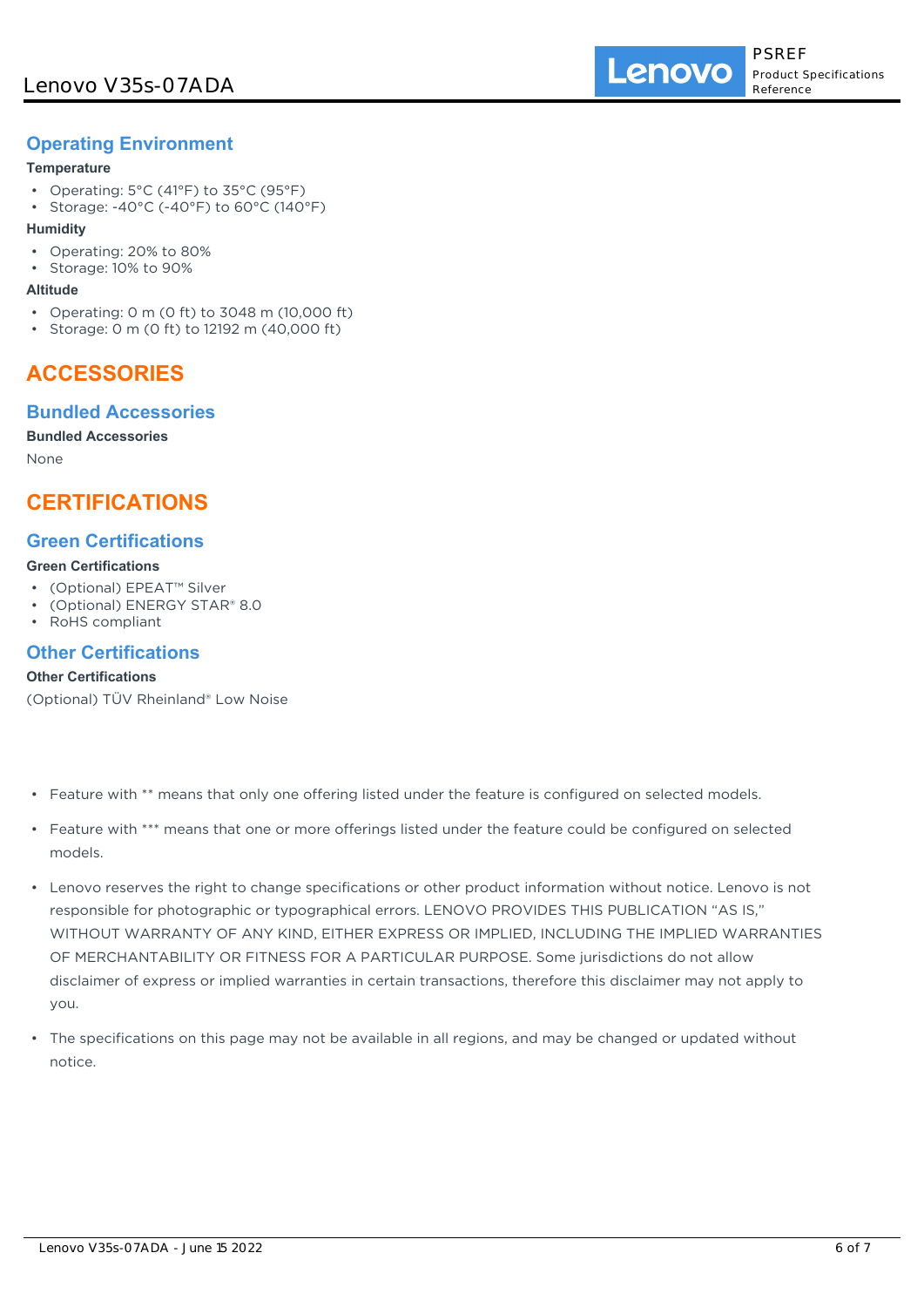## **Operating Environment**

#### **Temperature**

- Operating: 5°C (41°F) to 35°C (95°F)
- Storage: -40°C (-40°F) to 60°C (140°F)

#### **Humidity**

- Operating: 20% to 80%
- Storage: 10% to 90%

#### **Altitude**

- Operating: 0 m (0 ft) to 3048 m (10,000 ft)
- Storage: 0 m (0 ft) to 12192 m (40,000 ft)

## **ACCESSORIES**

## **Bundled Accessories**

#### **Bundled Accessories**

None

## **CERTIFICATIONS**

## **Green Certifications**

#### **Green Certifications**

- (Optional) EPEAT™ Silver
- (Optional) ENERGY STAR® 8.0
- RoHS compliant

### **Other Certifications**

#### **Other Certifications**

(Optional) TÜV Rheinland® Low Noise

- Feature with \*\* means that only one offering listed under the feature is configured on selected models.
- Feature with \*\*\* means that one or more offerings listed under the feature could be configured on selected models.
- Lenovo reserves the right to change specifications or other product information without notice. Lenovo is not responsible for photographic or typographical errors. LENOVO PROVIDES THIS PUBLICATION "AS IS," WITHOUT WARRANTY OF ANY KIND, EITHER EXPRESS OR IMPLIED, INCLUDING THE IMPLIED WARRANTIES OF MERCHANTABILITY OR FITNESS FOR A PARTICULAR PURPOSE. Some jurisdictions do not allow disclaimer of express or implied warranties in certain transactions, therefore this disclaimer may not apply to you.
- The specifications on this page may not be available in all regions, and may be changed or updated without notice.